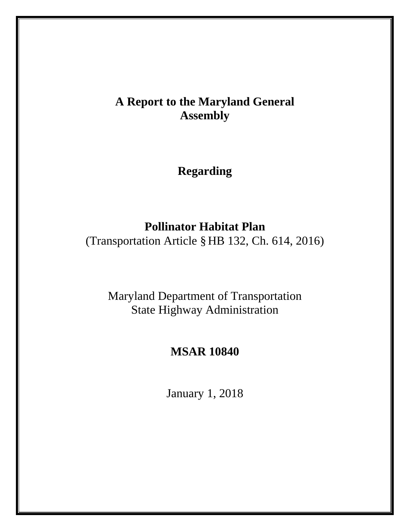# **A Report to the Maryland General Assembly**

**Regarding**

## **Pollinator Habitat Plan**

(Transportation Article §HB 132, Ch. 614, 2016)

Maryland Department of Transportation State Highway Administration

## **MSAR 10840**

January 1, 2018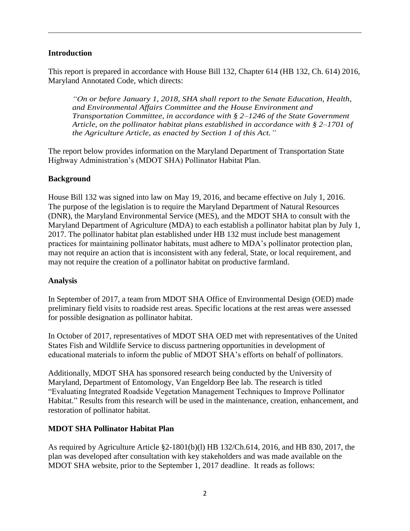#### **Introduction**

This report is prepared in accordance with House Bill 132, Chapter 614 (HB 132, Ch. 614) 2016, Maryland Annotated Code, which directs:

*"On or before January 1, 2018, SHA shall report to the Senate Education, Health, and Environmental Affairs Committee and the House Environment and Transportation Committee, in accordance with § 2–1246 of the State Government Article, on the pollinator habitat plans established in accordance with § 2–1701 of the Agriculture Article, as enacted by Section 1 of this Act."*

The report below provides information on the Maryland Department of Transportation State Highway Administration's (MDOT SHA) Pollinator Habitat Plan.

#### **Background**

House Bill 132 was signed into law on May 19, 2016, and became effective on July 1, 2016. The purpose of the legislation is to require the Maryland Department of Natural Resources (DNR), the Maryland Environmental Service (MES), and the MDOT SHA to consult with the Maryland Department of Agriculture (MDA) to each establish a pollinator habitat plan by July 1, 2017. The pollinator habitat plan established under HB 132 must include best management practices for maintaining pollinator habitats, must adhere to MDA's pollinator protection plan, may not require an action that is inconsistent with any federal, State, or local requirement, and may not require the creation of a pollinator habitat on productive farmland.

#### **Analysis**

In September of 2017, a team from MDOT SHA Office of Environmental Design (OED) made preliminary field visits to roadside rest areas. Specific locations at the rest areas were assessed for possible designation as pollinator habitat.

In October of 2017, representatives of MDOT SHA OED met with representatives of the United States Fish and Wildlife Service to discuss partnering opportunities in development of educational materials to inform the public of MDOT SHA's efforts on behalf of pollinators.

Additionally, MDOT SHA has sponsored research being conducted by the University of Maryland, Department of Entomology, Van Engeldorp Bee lab. The research is titled "Evaluating Integrated Roadside Vegetation Management Techniques to Improve Pollinator Habitat." Results from this research will be used in the maintenance, creation, enhancement, and restoration of pollinator habitat.

### **MDOT SHA Pollinator Habitat Plan**

As required by Agriculture Article §2-1801(b)(l) HB 132/Ch.614, 2016, and HB 830, 2017, the plan was developed after consultation with key stakeholders and was made available on the MDOT SHA website, prior to the September 1, 2017 deadline. It reads as follows: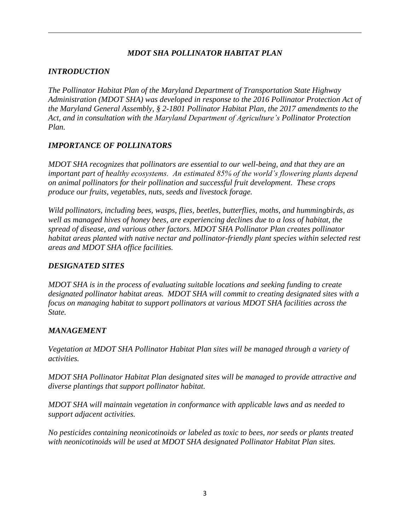## *MDOT SHA POLLINATOR HABITAT PLAN*

## *INTRODUCTION*

*The Pollinator Habitat Plan of the Maryland Department of Transportation State Highway Administration (MDOT SHA) was developed in response to the 2016 Pollinator Protection Act of the Maryland General Assembly, § 2-1801 Pollinator Habitat Plan, the 2017 amendments to the Act, and in consultation with the Maryland Department of Agriculture's Pollinator Protection Plan.*

## *IMPORTANCE OF POLLINATORS*

*MDOT SHA recognizes that pollinators are essential to our well-being, and that they are an important part of healthy ecosystems. An estimated 85% of the world's flowering plants depend on animal pollinators for their pollination and successful fruit development. These crops produce our fruits, vegetables, nuts, seeds and livestock forage.* 

*Wild pollinators, including bees, wasps, flies, beetles, butterflies, moths, and hummingbirds, as well as managed hives of honey bees, are experiencing declines due to a loss of habitat, the spread of disease, and various other factors. MDOT SHA Pollinator Plan creates pollinator habitat areas planted with native nectar and pollinator-friendly plant species within selected rest areas and MDOT SHA office facilities.* 

### *DESIGNATED SITES*

*MDOT SHA is in the process of evaluating suitable locations and seeking funding to create designated pollinator habitat areas. MDOT SHA will commit to creating designated sites with a focus on managing habitat to support pollinators at various MDOT SHA facilities across the State.* 

### *MANAGEMENT*

*Vegetation at MDOT SHA Pollinator Habitat Plan sites will be managed through a variety of activities.* 

*MDOT SHA Pollinator Habitat Plan designated sites will be managed to provide attractive and diverse plantings that support pollinator habitat.* 

*MDOT SHA will maintain vegetation in conformance with applicable laws and as needed to support adjacent activities.* 

*No pesticides containing neonicotinoids or labeled as toxic to bees, nor seeds or plants treated with neonicotinoids will be used at MDOT SHA designated Pollinator Habitat Plan sites.*